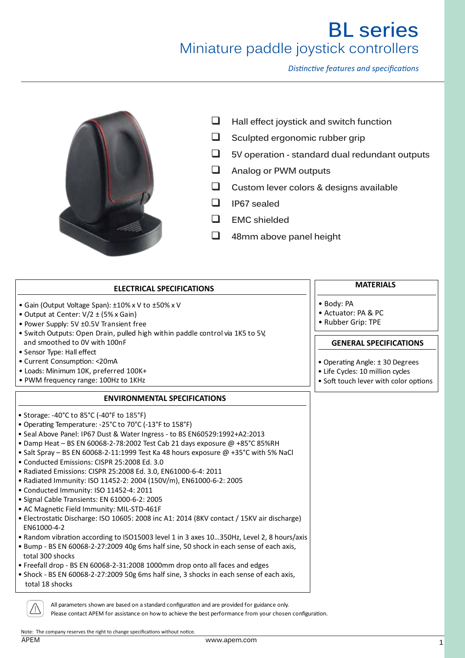*Distinctive features and specifications*



- **Hall effect joystick and switch function**
- $\Box$  Sculpted ergonomic rubber grip
- **5V operation standard dual redundant outputs**
- **Analog or PWM outputs**
- **Custom lever colors & designs available**
- **IP67 sealed**
- **EMC shielded**
- **48mm above panel height**

| <b>ELECTRICAL SPECIFICATIONS</b>                                                                           | <b>MATERIALS</b>                      |
|------------------------------------------------------------------------------------------------------------|---------------------------------------|
| • Gain (Output Voltage Span): ±10% x V to ±50% x V                                                         | · Body: PA                            |
| • Output at Center: $V/2 \pm (5\% \times Gain)$                                                            | • Actuator: PA & PC                   |
| • Power Supply: 5V ±0.5V Transient free                                                                    | • Rubber Grip: TPE                    |
| . Switch Outputs: Open Drain, pulled high within paddle control via 1K5 to 5V,                             |                                       |
| and smoothed to OV with 100nF                                                                              | <b>GENERAL SPECIFICATIONS</b>         |
| • Sensor Type: Hall effect                                                                                 |                                       |
| • Current Consumption: < 20mA                                                                              | • Operating Angle: ±30 Degrees        |
| · Loads: Minimum 10K, preferred 100K+                                                                      | • Life Cycles: 10 million cycles      |
| • PWM frequency range: 100Hz to 1KHz                                                                       | · Soft touch lever with color options |
| <b>ENVIRONMENTAL SPECIFICATIONS</b>                                                                        |                                       |
| • Storage: -40°C to 85°C (-40°F to 185°F)                                                                  |                                       |
| • Operating Temperature: -25°C to 70°C (-13°F to 158°F)                                                    |                                       |
| • Seal Above Panel: IP67 Dust & Water Ingress - to BS EN60529:1992+A2:2013                                 |                                       |
| • Damp Heat - BS EN 60068-2-78:2002 Test Cab 21 days exposure @ +85°C 85%RH                                |                                       |
| • Salt Spray - BS EN 60068-2-11:1999 Test Ka 48 hours exposure @ +35°C with 5% NaCl                        |                                       |
| · Conducted Emissions: CISPR 25:2008 Ed. 3.0                                                               |                                       |
| • Radiated Emissions: CISPR 25:2008 Ed. 3.0, EN61000-6-4: 2011                                             |                                       |
| • Radiated Immunity: ISO 11452-2: 2004 (150V/m), EN61000-6-2: 2005                                         |                                       |
| · Conducted Immunity: ISO 11452-4: 2011                                                                    |                                       |
| · Signal Cable Transients: EN 61000-6-2: 2005                                                              |                                       |
| • AC Magnetic Field Immunity: MIL-STD-461F                                                                 |                                       |
| • Electrostatic Discharge: ISO 10605: 2008 inc A1: 2014 (8KV contact / 15KV air discharge)<br>EN61000-4-2  |                                       |
| • Random vibration according to ISO15003 level 1 in 3 axes 10350Hz, Level 2, 8 hours/axis                  |                                       |
| . Bump - BS EN 60068-2-27:2009 40g 6ms half sine, 50 shock in each sense of each axis,<br>total 300 shocks |                                       |
| . Freefall drop - BS EN 60068-2-31:2008 1000mm drop onto all faces and edges                               |                                       |
| . Shock - BS EN 60068-2-27:2009 50g 6ms half sine, 3 shocks in each sense of each axis,                    |                                       |
|                                                                                                            |                                       |

Please contact APEM for assistance on how to achieve the best performance from your chosen configuration.

Note: The company reserves the right to change specifications without notice.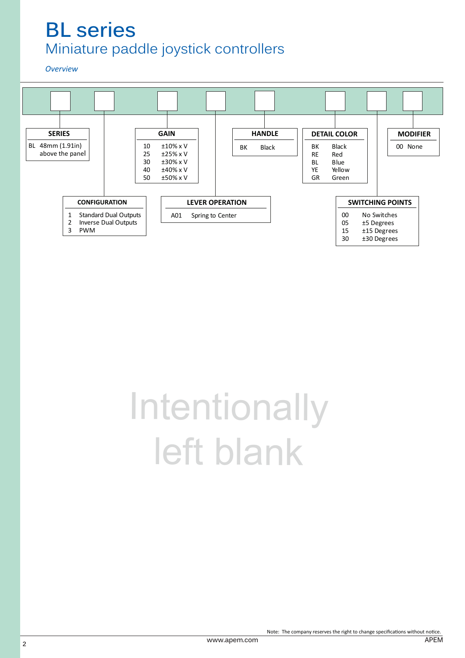*Overview*



# **Intentionally** left blank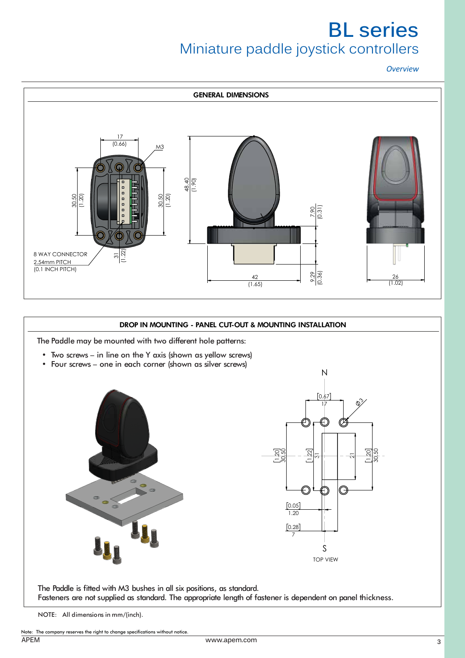*Overview*



# DROP IN MOUNTING - PANEL CUT-OUT & MOUNTING INSTALLATION

The Paddle may be mounted with two different hole patterns:

- Two screws in line on the Y axis (shown as yellow screws)
- Four screws one in each corner (shown as silver screws)





The Paddle is fitted with M3 bushes in all six positions, as standard. Fasteners are not supplied as standard. The appropriate length of fastener is dependent on panel thickness.

NOTE: All dimensions in mm/(inch).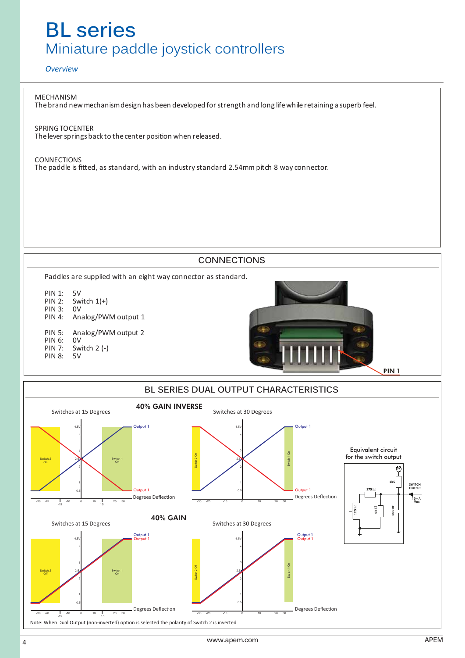## *Overview*

MECHANISM Thebrand newmechanismdesign hasbeen developed forstrength and long lifewhile retaining a superb feel.

SPRINGTOCENTER The lever springs back to the center position when released.

CONNECTIONS The paddle is fitted, as standard, with an industry standard 2.54mm pitch 8 way connector.

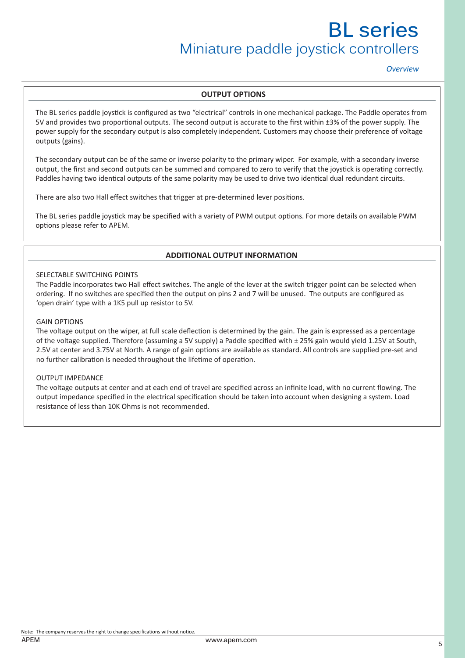*Overview*

## **OUTPUT OPTIONS**

The BL series paddle joystick is configured as two "electrical" controls in one mechanical package. The Paddle operates from 5V and provides two proportional outputs. The second output is accurate to the first within ±3% of the power supply. The power supply for the secondary output is also completely independent. Customers may choose their preference of voltage outputs (gains).

The secondary output can be of the same or inverse polarity to the primary wiper. For example, with a secondary inverse output, the first and second outputs can be summed and compared to zero to verify that the joystick is operating correctly. Paddles having two identical outputs of the same polarity may be used to drive two identical dual redundant circuits.

There are also two Hall effect switches that trigger at pre-determined lever positions.

The BL series paddle joystick may be specified with a variety of PWM output options. For more details on available PWM options please refer to APEM.

# **ADDITIONAL OUTPUT INFORMATION**

## SELECTABLE SWITCHING POINTS

The Paddle incorporates two Hall effect switches. The angle of the lever at the switch trigger point can be selected when ordering. If no switches are specified then the output on pins 2 and 7 will be unused. The outputs are configured as 'open drain' type with a 1K5 pull up resistor to 5V.

### GAIN OPTIONS

The voltage output on the wiper, at full scale deflection is determined by the gain. The gain is expressed as a percentage of the voltage supplied. Therefore (assuming a 5V supply) a Paddle specified with ± 25% gain would yield 1.25V at South, 2.5V at center and 3.75V at North. A range of gain options are available as standard. All controls are supplied pre-set and no further calibration is needed throughout the lifetime of operation.

#### OUTPUT IMPEDANCE

The voltage outputs at center and at each end of travel are specified across an infinite load, with no current flowing. The output impedance specified in the electrical specification should be taken into account when designing a system. Load resistance of less than 10K Ohms is not recommended.